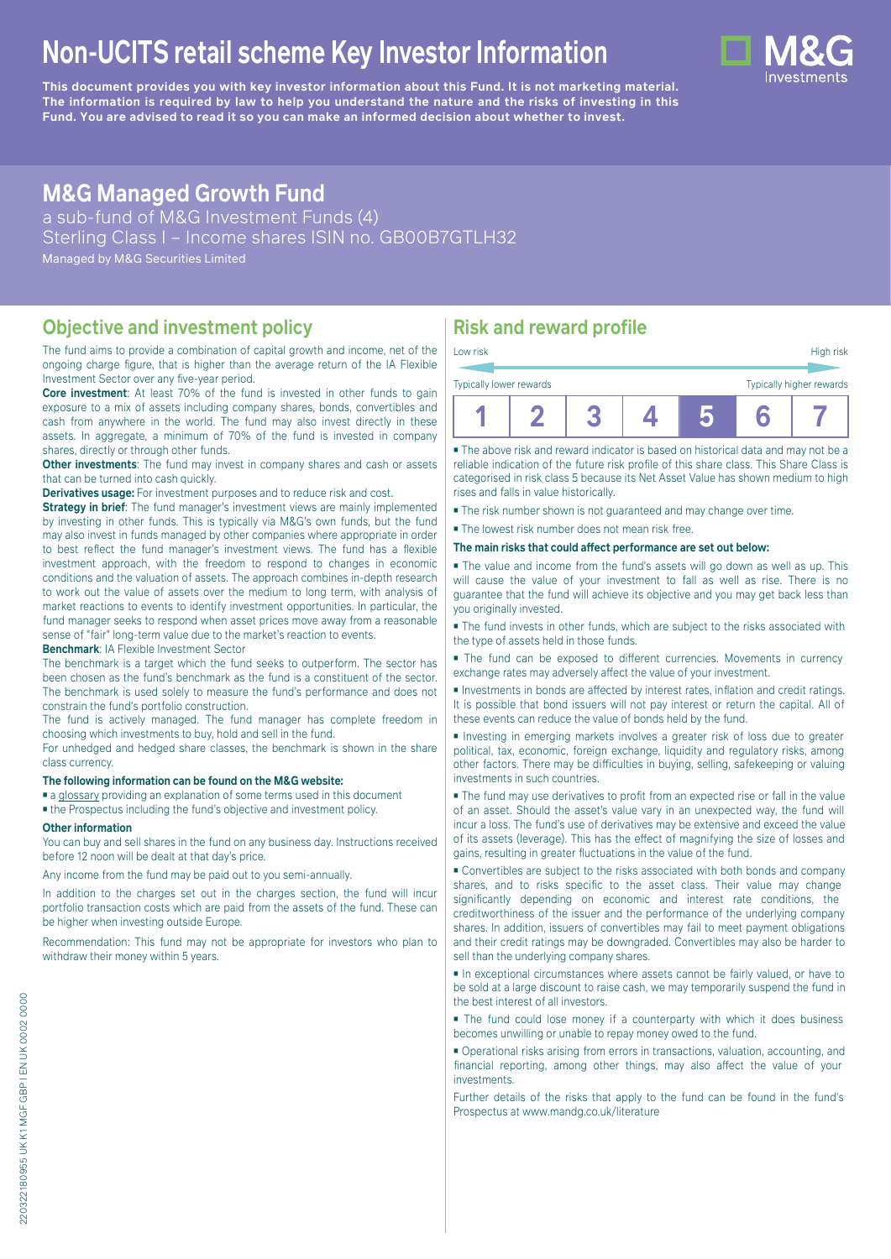# **Non-UCITS retail scheme Key Investor Information**

**This document provides you with key investor information about this Fund. It is not marketing material.** The information is required by law to help you understand the nature and the risks of investing in this **Fund. You are advised to read it so you can make an informed decision about whether to invest.**

# **M&G Managed Growth Fund**

a sub-fund of M&G Investment Funds (4) Sterling Class I – Income shares ISIN no. GB00B7GTLH32 Managed by M&G Securities Limited

## **Objective and investment policy**

The fund aims to provide a combination of capital growth and income, net of the ongoing charge figure, that is higher than the average return of the IA Flexible Investment Sector over any five-year period.

**Core investment**: At least 70% of the fund is invested in other funds to gain exposure to a mix of assets including company shares, bonds, convertibles and cash from anywhere in the world. The fund may also invest directly in these assets. In aggregate, a minimum of 70% of the fund is invested in company shares, directly or through other funds.

**Other investments**: The fund may invest in company shares and cash or assets that can be turned into cash quickly.

**Derivatives usage:** For investment purposes and to reduce risk and cost.

**Strategy in brief:** The fund manager's investment views are mainly implemented by investing in other funds. This is typically via M&G's own funds, but the fund may also invest in funds managed by other companies where appropriate in order to best reflect the fund manager's investment views. The fund has a flexible investment approach, with the freedom to respond to changes in economic conditions and the valuation of assets. The approach combines in-depth research to work out the value of assets over the medium to long term, with analysis of market reactions to events to identify investment opportunities. In particular, the fund manager seeks to respond when asset prices move away from a reasonable sense of "fair" long-term value due to the market's reaction to events.

**Benchmark**: IA Flexible Investment Sector

The benchmark is a target which the fund seeks to outperform. The sector has been chosen as the fund's benchmark as the fund is a constituent of the sector. The benchmark is used solely to measure the fund's performance and does not constrain the fund's portfolio construction.

The fund is actively managed. The fund manager has complete freedom in choosing which investments to buy, hold and sell in the fund.

For unhedged and hedged share classes, the benchmark is shown in the share class currency.

#### **The following information can be found on the M&G website:**

■ [a glossary](https://docs.mandg.com/docs/glossary-master-en.pdf) providing an explanation of some terms used in this document

■ the Prospectus including the fund's objective and investment policy.

#### **Other information**

You can buy and sell shares in the fund on any business day. Instructions received before 12 noon will be dealt at that day's price.

Any income from the fund may be paid out to you semi-annually.

In addition to the charges set out in the charges section, the fund will incur portfolio transaction costs which are paid from the assets of the fund. These can be higher when investing outside Europe.

Recommendation: This fund may not be appropriate for investors who plan to withdraw their money within 5 years.

## **Risk and reward profile**

| Low risk                |  |  | High risk                |
|-------------------------|--|--|--------------------------|
| Typically lower rewards |  |  | Typically higher rewards |
|                         |  |  |                          |

■ The above risk and reward indicator is based on historical data and may not be a reliable indication of the future risk profile of this share class. This Share Class is categorised in risk class 5 because its Net Asset Value has shown medium to high rises and falls in value historically.

■ The risk number shown is not guaranteed and may change over time.

■ The lowest risk number does not mean risk free.

**The main risks that could affect performance are set out below:**

■ The value and income from the fund's assets will go down as well as up. This will cause the value of your investment to fall as well as rise. There is no guarantee that the fund will achieve its objective and you may get back less than you originally invested.

■ The fund invests in other funds, which are subject to the risks associated with the type of assets held in those funds.

■ The fund can be exposed to different currencies. Movements in currency exchange rates may adversely affect the value of your investment.

■ Investments in bonds are affected by interest rates, inflation and credit ratings. It is possible that bond issuers will not pay interest or return the capital. All of these events can reduce the value of bonds held by the fund.

■ Investing in emerging markets involves a greater risk of loss due to greater political, tax, economic, foreign exchange, liquidity and regulatory risks, among other factors. There may be difficulties in buying, selling, safekeeping or valuing investments in such countries.

■ The fund may use derivatives to profit from an expected rise or fall in the value of an asset. Should the asset's value vary in an unexpected way, the fund will incur a loss. The fund's use of derivatives may be extensive and exceed the value of its assets (leverage). This has the effect of magnifying the size of losses and gains, resulting in greater fluctuations in the value of the fund.

■ Convertibles are subject to the risks associated with both bonds and company shares, and to risks specific to the asset class. Their value may change significantly depending on economic and interest rate conditions, the creditworthiness of the issuer and the performance of the underlying company shares. In addition, issuers of convertibles may fail to meet payment obligations and their credit ratings may be downgraded. Convertibles may also be harder to sell than the underlying company shares.

■ In exceptional circumstances where assets cannot be fairly valued, or have to be sold at a large discount to raise cash, we may temporarily suspend the fund in the best interest of all investors.

■ The fund could lose money if a counterparty with which it does business becomes unwilling or unable to repay money owed to the fund.

■ Operational risks arising from errors in transactions, valuation, accounting, and financial reporting, among other things, may also affect the value of your investments.

Further details of the risks that apply to the fund can be found in the fund's Prospectus at [www.mandg.co.uk/literature](http://www.mandg.co.uk/literature)